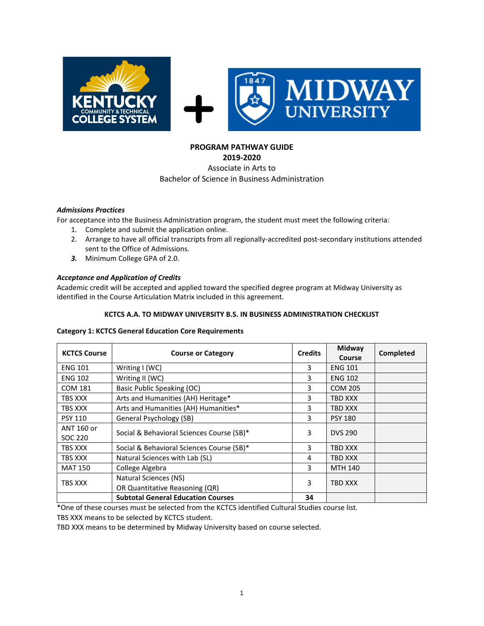

# **PROGRAM PATHWAY GUIDE**

**2019-2020**

### Associate in Arts to Bachelor of Science in Business Administration

### *Admissions Practices*

For acceptance into the Business Administration program, the student must meet the following criteria:

- 1. Complete and submit the application online.
- 2. Arrange to have all official transcripts from all regionally-accredited post-secondary institutions attended sent to the Office of Admissions.
- *3.* Minimum College GPA of 2.0.

# *Acceptance and Application of Credits*

Academic credit will be accepted and applied toward the specified degree program at Midway University as identified in the Course Articulation Matrix included in this agreement.

### **KCTCS A.A. TO MIDWAY UNIVERSITY B.S. IN BUSINESS ADMINISTRATION CHECKLIST**

### **Category 1: KCTCS General Education Core Requirements**

| <b>KCTCS Course</b>   | <b>Course or Category</b>                               | <b>Credits</b> | Midway<br>Course | Completed |
|-----------------------|---------------------------------------------------------|----------------|------------------|-----------|
| <b>ENG 101</b>        | Writing I (WC)                                          | 3              | <b>ENG 101</b>   |           |
| <b>ENG 102</b>        | Writing II (WC)                                         | 3              | <b>ENG 102</b>   |           |
| <b>COM 181</b>        | Basic Public Speaking (OC)                              | 3              | <b>COM 205</b>   |           |
| TBS XXX               | Arts and Humanities (AH) Heritage*                      | 3              | TBD XXX          |           |
| TBS XXX               | Arts and Humanities (AH) Humanities*                    | 3              | TBD XXX          |           |
| <b>PSY 110</b>        | General Psychology (SB)                                 | 3              | <b>PSY 180</b>   |           |
| ANT 160 or<br>SOC 220 | Social & Behavioral Sciences Course (SB)*               |                | <b>DVS 290</b>   |           |
| TBS XXX               | Social & Behavioral Sciences Course (SB)*               | 3              | TBD XXX          |           |
| TBS XXX               | Natural Sciences with Lab (SL)                          | 4              | TBD XXX          |           |
| <b>MAT 150</b>        | College Algebra                                         | 3              | <b>MTH 140</b>   |           |
| TBS XXX               | Natural Sciences (NS)<br>OR Quantitative Reasoning (QR) |                | TBD XXX          |           |
|                       | <b>Subtotal General Education Courses</b>               | 34             |                  |           |

\*One of these courses must be selected from the KCTCS identified Cultural Studies course list.

TBS XXX means to be selected by KCTCS student.

TBD XXX means to be determined by Midway University based on course selected.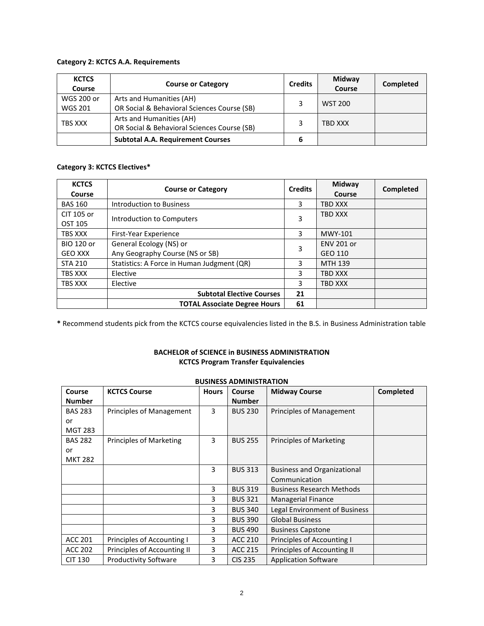### **Category 2: KCTCS A.A. Requirements**

| <b>KCTCS</b><br>Course | <b>Course or Category</b>                   |   | Midway<br>Course | Completed |
|------------------------|---------------------------------------------|---|------------------|-----------|
| WGS 200 or             | Arts and Humanities (AH)                    |   | <b>WST 200</b>   |           |
| <b>WGS 201</b>         | OR Social & Behavioral Sciences Course (SB) |   |                  |           |
| TBS XXX                | Arts and Humanities (AH)                    |   | TBD XXX          |           |
|                        | OR Social & Behavioral Sciences Course (SB) |   |                  |           |
|                        | <b>Subtotal A.A. Requirement Courses</b>    | 6 |                  |           |

# **Category 3: KCTCS Electives\***

| <b>KCTCS</b><br>Course              | <b>Course or Category</b>                                  | <b>Credits</b> | Midway<br>Course             | Completed |
|-------------------------------------|------------------------------------------------------------|----------------|------------------------------|-----------|
| <b>BAS 160</b>                      | Introduction to Business                                   | 3              | <b>TBD XXX</b>               |           |
| CIT 105 or<br>OST 105               | Introduction to Computers                                  |                | <b>TBD XXX</b>               |           |
| TBS XXX                             | First-Year Experience                                      | 3              | MWY-101                      |           |
| <b>BIO 120 or</b><br><b>GEO XXX</b> | General Ecology (NS) or<br>Any Geography Course (NS or SB) | 3              | <b>ENV 201 or</b><br>GEO 110 |           |
| <b>STA 210</b>                      | Statistics: A Force in Human Judgment (QR)                 |                | MTH 139                      |           |
| TBS XXX                             | Elective                                                   |                | <b>TBD XXX</b>               |           |
| TBS XXX                             | Elective                                                   |                | <b>TBD XXX</b>               |           |
|                                     | <b>Subtotal Elective Courses</b>                           | 21             |                              |           |
|                                     | <b>TOTAL Associate Degree Hours</b>                        | 61             |                              |           |

**\*** Recommend students pick from the KCTCS course equivalencies listed in the B.S. in Business Administration table

# **BACHELOR of SCIENCE in BUSINESS ADMINISTRATION KCTCS Program Transfer Equivalencies**

| <b>PUSITIESS ADIVITIVIS ITATION</b> |                                 |              |                |                                    |           |  |  |
|-------------------------------------|---------------------------------|--------------|----------------|------------------------------------|-----------|--|--|
| Course                              | <b>KCTCS Course</b>             | <b>Hours</b> | Course         | <b>Midway Course</b>               | Completed |  |  |
| <b>Number</b>                       |                                 |              | <b>Number</b>  |                                    |           |  |  |
| <b>BAS 283</b>                      | <b>Principles of Management</b> | 3            | <b>BUS 230</b> | Principles of Management           |           |  |  |
| or                                  |                                 |              |                |                                    |           |  |  |
| <b>MGT 283</b>                      |                                 |              |                |                                    |           |  |  |
| <b>BAS 282</b>                      | Principles of Marketing         | 3            | <b>BUS 255</b> | <b>Principles of Marketing</b>     |           |  |  |
| or                                  |                                 |              |                |                                    |           |  |  |
| <b>MKT 282</b>                      |                                 |              |                |                                    |           |  |  |
|                                     |                                 | 3            | <b>BUS 313</b> | <b>Business and Organizational</b> |           |  |  |
|                                     |                                 |              |                | Communication                      |           |  |  |
|                                     |                                 | 3            | <b>BUS 319</b> | <b>Business Research Methods</b>   |           |  |  |
|                                     |                                 | 3            | <b>BUS 321</b> | Managerial Finance                 |           |  |  |
|                                     |                                 | 3            | <b>BUS 340</b> | Legal Environment of Business      |           |  |  |
|                                     |                                 | 3            | <b>BUS 390</b> | <b>Global Business</b>             |           |  |  |
|                                     |                                 | 3            | <b>BUS 490</b> | <b>Business Capstone</b>           |           |  |  |
| ACC 201                             | Principles of Accounting I      | 3            | ACC 210        | Principles of Accounting I         |           |  |  |
| <b>ACC 202</b>                      | Principles of Accounting II     | 3            | <b>ACC 215</b> | Principles of Accounting II        |           |  |  |
| <b>CIT 130</b>                      | <b>Productivity Software</b>    | 3            | <b>CIS 235</b> | <b>Application Software</b>        |           |  |  |

# **BUSINESS ADMINISTRATION**